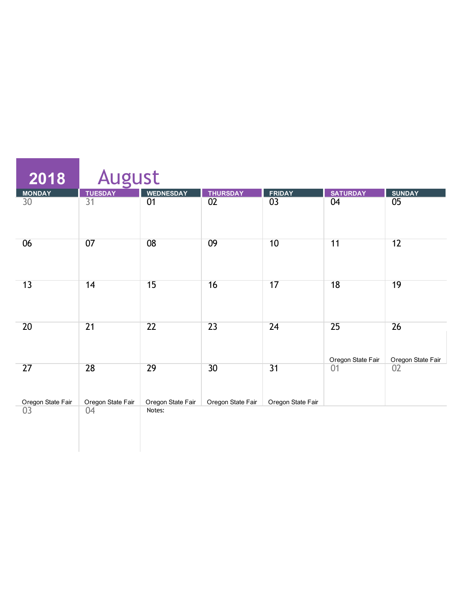| 2018                    | August                  |                             |                   |                   |                         |                         |
|-------------------------|-------------------------|-----------------------------|-------------------|-------------------|-------------------------|-------------------------|
|                         | <b>TUESDAY</b>          | <b>WEDNESDAY</b>            | <b>THURSDAY</b>   |                   | <b>SATURDAY</b>         | <b>SUNDAY</b>           |
| MONDAY<br>30            | $\overline{31}$         | $\overline{01}$             | $\overline{02}$   | FRIDAY<br>03      | 04                      | $\overline{05}$         |
| 06                      | 07                      | 08                          | 09                | 10                | 11                      | 12                      |
| 13                      | 14                      | 15                          | 16                | 17                | $\overline{18}$         | 19                      |
| 20                      | $\overline{21}$         | 22                          | 23                | 24                | 25<br>Oregon State Fair | 26<br>Oregon State Fair |
| 27                      | 28                      | $\overline{29}$             | $\overline{30}$   | $\overline{31}$   | 01                      | 02                      |
| Oregon State Fair<br>03 | Oregon State Fair<br>04 | Oregon State Fair<br>Notes: | Oregon State Fair | Oregon State Fair |                         |                         |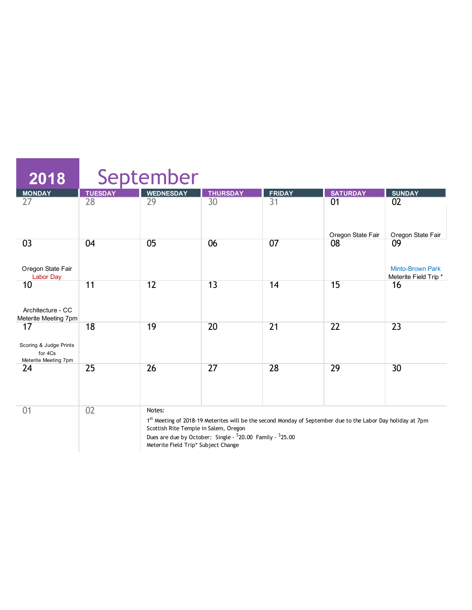| 2018                                                            |                | September                                       |                                                            |                                                                                                             |                   |                                                       |
|-----------------------------------------------------------------|----------------|-------------------------------------------------|------------------------------------------------------------|-------------------------------------------------------------------------------------------------------------|-------------------|-------------------------------------------------------|
| <b>MONDAY</b>                                                   | <b>TUESDAY</b> | <b>WEDNESDAY</b>                                | <b>THURSDAY</b>                                            | <b>FRIDAY</b>                                                                                               | <b>SATURDAY</b>   | <b>SUNDAY</b>                                         |
| 27                                                              | 28             | 29                                              | 30                                                         | $\overline{31}$                                                                                             | 01                | 02                                                    |
|                                                                 |                |                                                 |                                                            |                                                                                                             | Oregon State Fair | Oregon State Fair                                     |
| 03<br>Oregon State Fair<br><b>Labor Day</b>                     | 04             | 05                                              | 06                                                         | 07                                                                                                          | 08                | 09<br><b>Minto-Brown Park</b><br>Meterite Field Trip* |
| 10<br>Architecture - CC<br>Meterite Meeting 7pm                 | 11             | 12                                              | 13                                                         | 14                                                                                                          | 15                | 16                                                    |
| 17<br>Scoring & Judge Prints<br>for 4Cs<br>Meterite Meeting 7pm | 18             | 19                                              | 20                                                         | $\overline{21}$                                                                                             | 22                | $\overline{23}$                                       |
| 24                                                              | 25             | 26                                              | 27                                                         | 28                                                                                                          | 29                | 30                                                    |
| 01                                                              | 02             | Notes:<br>Scottish Rite Temple in Salem, Oregon | Dues are due by October: Single - \$20.00 Family - \$25.00 | 1st Meeting of 2018-19 Meterites will be the second Monday of September due to the Labor Day holiday at 7pm |                   |                                                       |

Meterite Field Trip\* Subject Change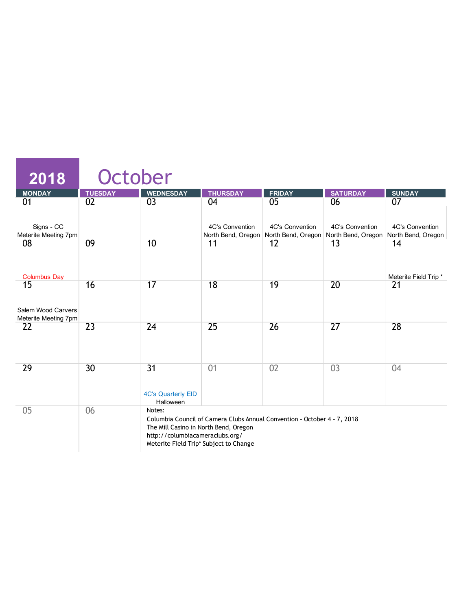| 2018                                             | October        |                                                                                    |                                                                                                                    |                 |                        |                                                                                                      |
|--------------------------------------------------|----------------|------------------------------------------------------------------------------------|--------------------------------------------------------------------------------------------------------------------|-----------------|------------------------|------------------------------------------------------------------------------------------------------|
| <b>MONDAY</b>                                    | <b>TUESDAY</b> | <b>WEDNESDAY</b>                                                                   | <b>THURSDAY</b>                                                                                                    | <b>FRIDAY</b>   | <b>SATURDAY</b>        | <b>SUNDAY</b>                                                                                        |
| 01                                               | 02             | $\overline{03}$                                                                    | 04                                                                                                                 | $\overline{05}$ | 06                     | 07                                                                                                   |
| Signs - CC<br>Meterite Meeting 7pm               |                |                                                                                    | 4C's Convention                                                                                                    | 4C's Convention | <b>4C's Convention</b> | 4C's Convention<br>North Bend, Oregon   North Bend, Oregon   North Bend, Oregon   North Bend, Oregon |
| 08<br><b>Columbus Day</b>                        | 09             | 10                                                                                 | 11                                                                                                                 | 12              | 13                     | 14<br>Meterite Field Trip*                                                                           |
| 15<br>Salem Wood Carvers<br>Meterite Meeting 7pm | 16             | 17                                                                                 | 18                                                                                                                 | 19              | 20                     | 21                                                                                                   |
| 22                                               | 23             | 24                                                                                 | 25                                                                                                                 | 26              | 27                     | 28                                                                                                   |
| 29                                               | 30             | $\overline{31}$<br><b>4C's Quarterly EID</b><br>Halloween                          | 01                                                                                                                 | 02              | 03                     | 04                                                                                                   |
| 05                                               | 06             | Notes:<br>The Mill Casino in North Bend, Oregon<br>http://columbiacameraclubs.org/ | Columbia Council of Camera Clubs Annual Convention - October 4 - 7, 2018<br>Meterite Field Trip* Subject to Change |                 |                        |                                                                                                      |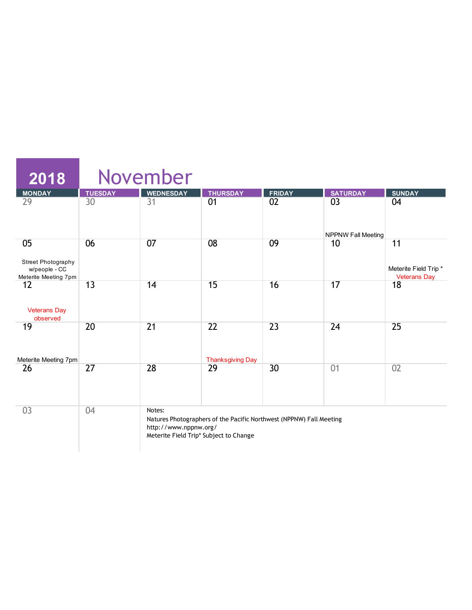| $\overline{2018}$                                                 |                | November                        |                                                                                                               |               |                                             |                                                   |
|-------------------------------------------------------------------|----------------|---------------------------------|---------------------------------------------------------------------------------------------------------------|---------------|---------------------------------------------|---------------------------------------------------|
| <b>MONDAY</b>                                                     | <b>TUESDAY</b> | <b>WEDNESDAY</b>                | <b>THURSDAY</b>                                                                                               | <b>FRIDAY</b> | <b>SATURDAY</b>                             | <b>SUNDAY</b>                                     |
| 29                                                                | 30             | $\overline{31}$                 | 01                                                                                                            | 02            | 0 <sup>3</sup><br><b>NPPNW Fall Meeting</b> | 04                                                |
| 05<br>Street Photography<br>w/people - CC<br>Meterite Meeting 7pm | 06             | 07                              | 08                                                                                                            | 09            | 10                                          | 11<br>Meterite Field Trip*<br><b>Veterans Day</b> |
| 12<br><b>Veterans Day</b><br>observed                             | 13             | 14                              | 15                                                                                                            | 16            | 17                                          | 18                                                |
| 19<br>Meterite Meeting 7pm                                        | 20             | $\overline{21}$                 | $\overline{22}$<br><b>Thanksgiving Day</b>                                                                    | 23            | 24                                          | 25                                                |
| 26                                                                | 27             | 28                              | 29                                                                                                            | 30            | 01                                          | 02                                                |
| 03                                                                | 04             | Notes:<br>http://www.nppnw.org/ | Natures Photographers of the Pacific Northwest (NPPNW) Fall Meeting<br>Meterite Field Trip* Subject to Change |               |                                             |                                                   |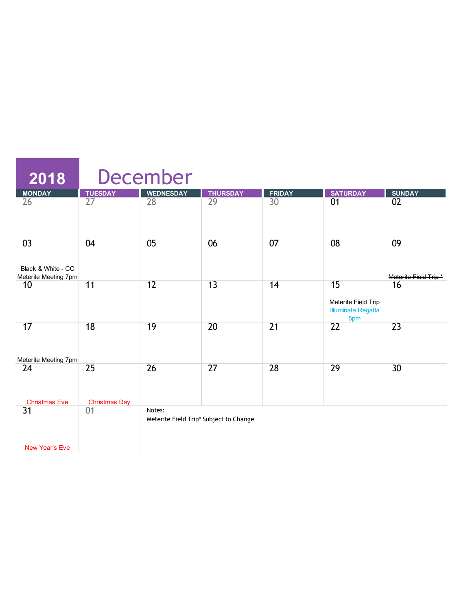| 2018                                             |                            | <b>December</b>                                  |                 |                 |                                                               |                            |
|--------------------------------------------------|----------------------------|--------------------------------------------------|-----------------|-----------------|---------------------------------------------------------------|----------------------------|
| <b>MONDAY</b>                                    | <b>TUESDAY</b>             | <b>WEDNESDAY</b>                                 | <b>THURSDAY</b> | <b>FRIDAY</b>   | <b>SATURDAY</b>                                               | <b>SUNDAY</b>              |
| 26                                               | 27                         | 28                                               | 29              | 30              | 01                                                            | 02                         |
| 03<br>Black & White - CC<br>Meterite Meeting 7pm | 04                         | 05                                               | 06              | 07              | 08                                                            | 09<br>Meterite Field Trip* |
| 10                                               | 11                         | 12                                               | 13              | 14              | 15<br>Meterite Field Trip<br><b>Illuminata Regatta</b><br>5pm | 16                         |
| 17                                               | 18                         | 19                                               | $\overline{20}$ | $\overline{21}$ | $\overline{22}$                                               | $\overline{23}$            |
| Meterite Meeting 7pm<br>24                       | 25                         | 26                                               | 27              | 28              | 29                                                            | 30 <sup>2</sup>            |
| <b>Christmas Eve</b><br>31                       | <b>Christmas Day</b><br>01 | Notes:<br>Meterite Field Trip* Subject to Change |                 |                 |                                                               |                            |
| <b>New Year's Eve</b>                            |                            |                                                  |                 |                 |                                                               |                            |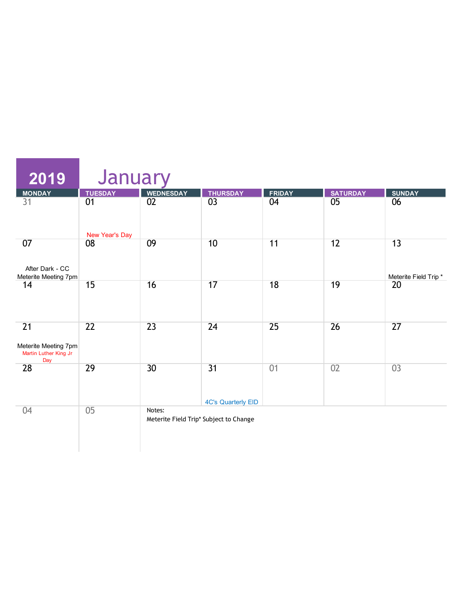| $\overline{2019}$                                          | January        |                  |                                              |               |                 |                      |
|------------------------------------------------------------|----------------|------------------|----------------------------------------------|---------------|-----------------|----------------------|
| <b>MONDAY</b>                                              | <b>TUESDAY</b> | <b>WEDNESDAY</b> | <b>THURSDAY</b>                              | <b>FRIDAY</b> | <b>SATURDAY</b> | <b>SUNDAY</b>        |
| 31                                                         | 01             | $\overline{02}$  | $\overline{03}$                              | 04            | $\overline{05}$ | 06                   |
|                                                            | New Year's Day |                  |                                              |               |                 |                      |
| 07                                                         | 08             | 09               | 10                                           | 11            | 12              | 13                   |
| After Dark - CC<br>Meterite Meeting 7pm                    |                |                  |                                              |               |                 | Meterite Field Trip* |
| 14                                                         | 15             | 16               | 17                                           | 18            | 19              | 20                   |
| 21<br>Meterite Meeting 7pm<br>Martin Luther King Jr<br>Day | 22             | 23               | 24                                           | 25            | 26              | 27                   |
| 28                                                         | 29             | 30               | $\overline{31}$<br><b>4C's Quarterly EID</b> | 01            | 02              | 03                   |
| 04                                                         | 0 <sub>5</sub> | Notes:           | Meterite Field Trip* Subject to Change       |               |                 |                      |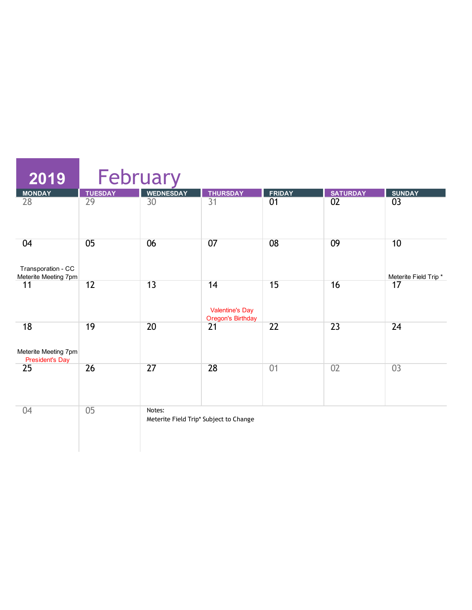| 2019                                                 | February        |                                                  |                                                          |                 |                 |                            |
|------------------------------------------------------|-----------------|--------------------------------------------------|----------------------------------------------------------|-----------------|-----------------|----------------------------|
| <b>MONDAY</b>                                        | <b>TUESDAY</b>  | <b>WEDNESDAY</b>                                 | <b>THURSDAY</b>                                          | <b>FRIDAY</b>   | <b>SATURDAY</b> | <b>SUNDAY</b>              |
| $\overline{28}$                                      | $\overline{29}$ | 30                                               | $\overline{31}$                                          | $\overline{01}$ | 02              | 03                         |
| 04<br>Transporation - CC                             | 05              | 06                                               | 07                                                       | 08              | 09              | 10                         |
| Meterite Meeting 7pm<br>11                           | 12              | 13                                               | 14<br><b>Valentine's Day</b><br><b>Oregon's Birthday</b> | 15              | 16              | Meterite Field Trip*<br>17 |
| 18<br>Meterite Meeting 7pm<br><b>President's Day</b> | 19              | $\overline{20}$                                  | $\overline{21}$                                          | 22              | $\overline{23}$ | 24                         |
| 25                                                   | 26              | 27                                               | 28                                                       | 01              | 02              | 03                         |
| 04                                                   | 05              | Notes:<br>Meterite Field Trip* Subject to Change |                                                          |                 |                 |                            |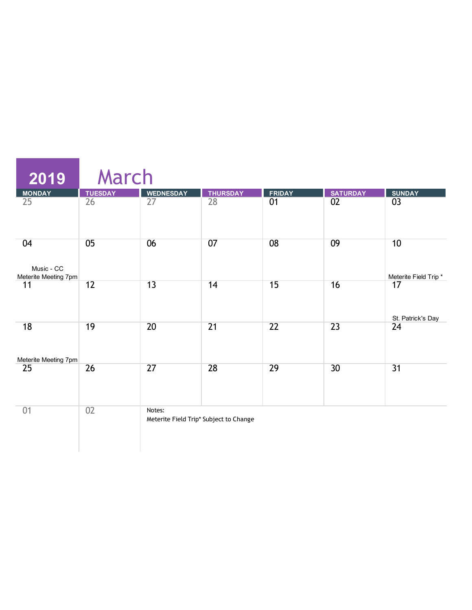| 2019                                     | March          |                  |                                        |                 |                 |                            |
|------------------------------------------|----------------|------------------|----------------------------------------|-----------------|-----------------|----------------------------|
|                                          | <b>TUESDAY</b> | <b>WEDNESDAY</b> | <b>THURSDAY</b>                        | <b>FRIDAY</b>   | <b>SATURDAY</b> | <b>SUNDAY</b>              |
| MONDAY<br>25                             | 26             | $\overline{27}$  | $\overline{28}$                        | $\overline{01}$ | $\overline{02}$ | 03                         |
| 04<br>Music - CC<br>Meterite Meeting 7pm | 05             | 06               | 07                                     | 08              | 09              | 10<br>Meterite Field Trip* |
| 11                                       | 12             | 13               | 14                                     | 15              | 16              | 17<br>St. Patrick's Day    |
| 18<br>Meterite Meeting 7pm               | 19             | 20               | $\overline{21}$                        | 22              | 23              | 24                         |
| 25                                       | 26             | 27               | 28                                     | 29              | 30              | 31                         |
| 01                                       | 02             | Notes:           | Meterite Field Trip* Subject to Change |                 |                 |                            |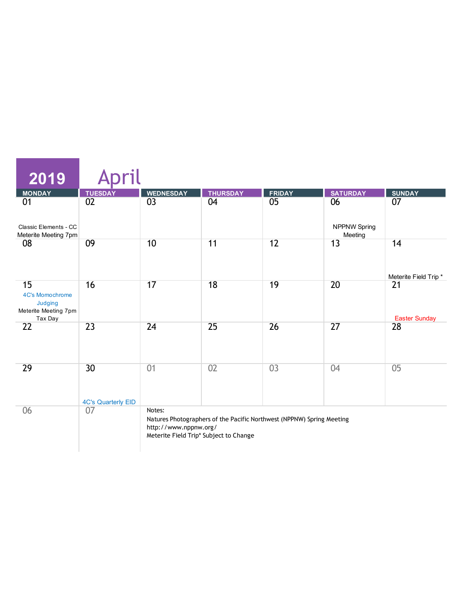| $\overline{2019}$                                        |                                 |                                 |                                                                                                                 |                |                                |                            |
|----------------------------------------------------------|---------------------------------|---------------------------------|-----------------------------------------------------------------------------------------------------------------|----------------|--------------------------------|----------------------------|
| <b>MONDAY</b>                                            | <b>TUESDAY</b>                  | <b>WEDNESDAY</b>                | <b>THURSDAY</b>                                                                                                 | <b>FRIDAY</b>  | <b>SATURDAY</b>                | <b>SUNDAY</b>              |
| 01                                                       | 02                              | 03                              | 04                                                                                                              | 0 <sub>5</sub> | 06                             | 07                         |
| Classic Elements - CC<br>Meterite Meeting 7pm            |                                 |                                 |                                                                                                                 |                | <b>NPPNW Spring</b><br>Meeting |                            |
| 08                                                       | 09                              | 10                              | 11                                                                                                              | 12             | 13                             | 14                         |
|                                                          |                                 |                                 |                                                                                                                 |                |                                | Meterite Field Trip*       |
| 15<br>4C's Momochrome<br>Judging<br>Meterite Meeting 7pm | 16                              | 17                              | 18                                                                                                              | 19             | 20                             | 21                         |
| Tax Day<br>22                                            | 23                              | 24                              | 25                                                                                                              | 26             | 27                             | <b>Easter Sunday</b><br>28 |
|                                                          |                                 |                                 |                                                                                                                 |                |                                |                            |
| 29                                                       | 30<br><b>4C's Quarterly EID</b> | 01                              | 02                                                                                                              | 03             | 04                             | 05                         |
| 06                                                       | 07                              | Notes:<br>http://www.nppnw.org/ | Natures Photographers of the Pacific Northwest (NPPNW) Spring Meeting<br>Meterite Field Trip* Subject to Change |                |                                |                            |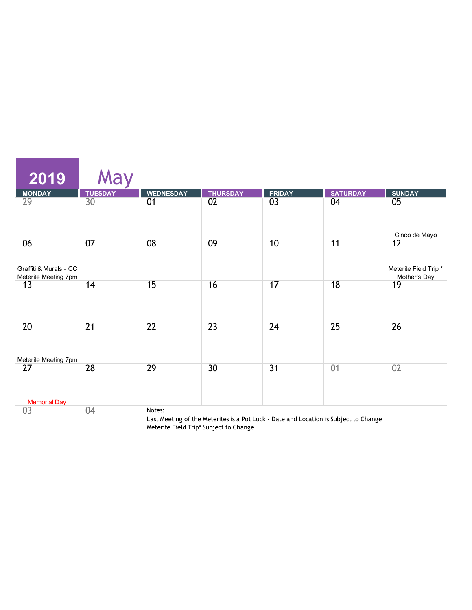| 2019                                                 | May             |                                                  |                 |                                                                                      |                 |                                            |
|------------------------------------------------------|-----------------|--------------------------------------------------|-----------------|--------------------------------------------------------------------------------------|-----------------|--------------------------------------------|
| <b>MONDAY</b>                                        | <b>TUESDAY</b>  | <b>WEDNESDAY</b>                                 | <b>THURSDAY</b> | <b>FRIDAY</b>                                                                        | <b>SATURDAY</b> | <b>SUNDAY</b>                              |
| 29                                                   | 30              | 01                                               | $\overline{02}$ | 03                                                                                   | 04              | 05                                         |
|                                                      |                 |                                                  |                 |                                                                                      |                 | Cinco de Mayo                              |
| 06<br>Graffiti & Murals - CC<br>Meterite Meeting 7pm | 07              | 08                                               | 09              | 10                                                                                   | 11              | 12<br>Meterite Field Trip*<br>Mother's Day |
| 13                                                   | 14              | 15                                               | 16              | 17                                                                                   | 18              | 19                                         |
| 20                                                   | $\overline{21}$ | $\overline{22}$                                  | $\overline{23}$ | 24                                                                                   | 25              | 26                                         |
| Meterite Meeting 7pm<br>27                           | 28              | 29                                               | 30              | $\overline{31}$                                                                      | 01              | 02                                         |
| <b>Memorial Day</b>                                  |                 |                                                  |                 |                                                                                      |                 |                                            |
| 03                                                   | 04              | Notes:<br>Meterite Field Trip* Subject to Change |                 | Last Meeting of the Meterites is a Pot Luck - Date and Location is Subject to Change |                 |                                            |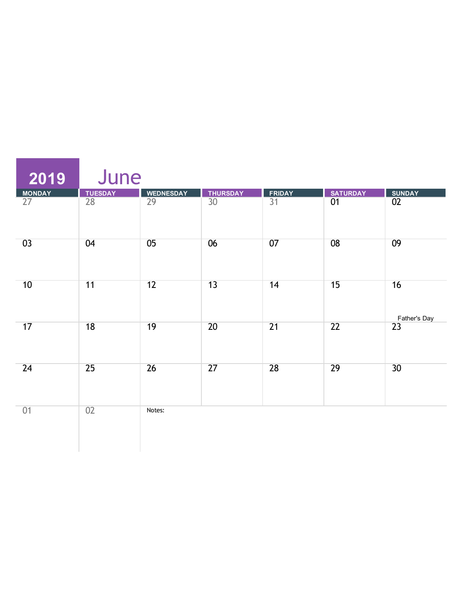| 2019         | June            |                  |                 |                 |                 |                    |
|--------------|-----------------|------------------|-----------------|-----------------|-----------------|--------------------|
|              | <b>TUESDAY</b>  | <b>WEDNESDAY</b> |                 | <b>FRIDAY</b>   | <b>SATURDAY</b> | <b>SUNDAY</b>      |
| MONDAY<br>27 | $\overline{28}$ | $\overline{29}$  | THURSDAY<br>30  | $\overline{31}$ | $\overline{01}$ | $\overline{02}$    |
| 03           | 04              | 05               | 06              | 07              | $\overline{08}$ | 09                 |
| 10           | 11              | 12               | $\overline{13}$ | 14              | 15              | 16<br>Father's Day |
| 17           | $\overline{18}$ | 19               | $\overline{20}$ | $\overline{21}$ | $\overline{22}$ | $\overline{23}$    |
| 24           | 25              | 26               | $\overline{27}$ | 28              | 29              | $\overline{30}$    |
| 01           | 02              | Notes:           |                 |                 |                 |                    |